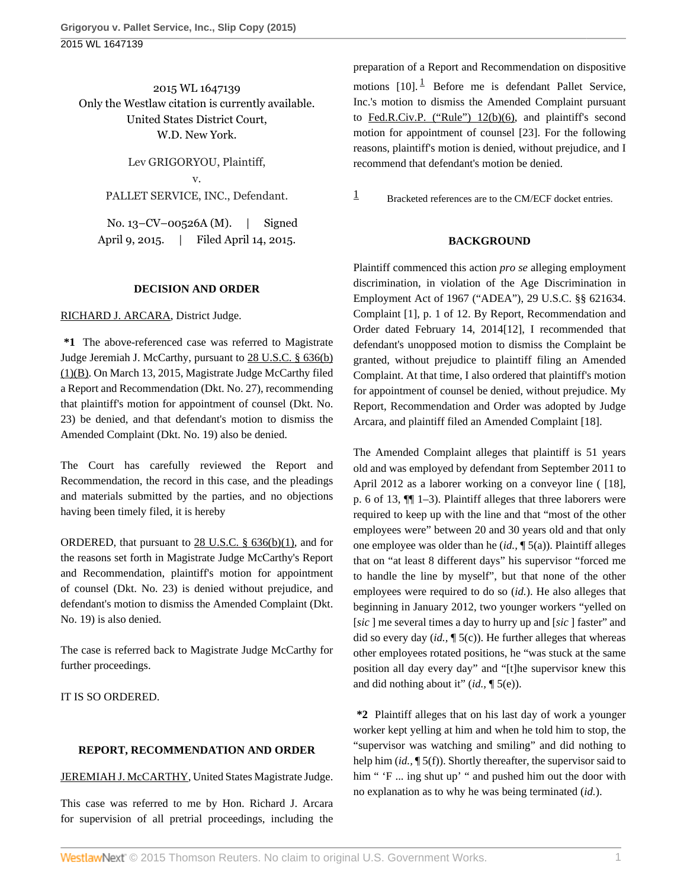2015 WL 1647139 Only the Westlaw citation is currently available. United States District Court, W.D. New York.

> Lev GRIGORYOU, Plaintiff, v. PALLET SERVICE, INC., Defendant.

No. 13–CV–00526A (M). | Signed April 9, 2015. | Filed April 14, 2015.

### **DECISION AND ORDER**

### [RICHARD J. ARCARA](http://www.westlaw.com/Link/Document/FullText?findType=h&pubNum=176284&cite=0149268001&originatingDoc=I6fefd12fe2d011e4b86bd602cb8781fa&refType=RQ&originationContext=document&vr=3.0&rs=cblt1.0&transitionType=DocumentItem&contextData=(sc.UserEnteredCitation)), District Judge.

**\*1** The above-referenced case was referred to Magistrate Judge Jeremiah J. McCarthy, pursuant to [28 U.S.C. § 636\(b\)](http://www.westlaw.com/Link/Document/FullText?findType=L&pubNum=1000546&cite=28USCAS636&originatingDoc=I6fefd12fe2d011e4b86bd602cb8781fa&refType=RB&originationContext=document&vr=3.0&rs=cblt1.0&transitionType=DocumentItem&contextData=(sc.UserEnteredCitation)#co_pp_2a4b0000e5562) [\(1\)\(B\).](http://www.westlaw.com/Link/Document/FullText?findType=L&pubNum=1000546&cite=28USCAS636&originatingDoc=I6fefd12fe2d011e4b86bd602cb8781fa&refType=RB&originationContext=document&vr=3.0&rs=cblt1.0&transitionType=DocumentItem&contextData=(sc.UserEnteredCitation)#co_pp_2a4b0000e5562) On March 13, 2015, Magistrate Judge McCarthy filed a Report and Recommendation (Dkt. No. 27), recommending that plaintiff's motion for appointment of counsel (Dkt. No. 23) be denied, and that defendant's motion to dismiss the Amended Complaint (Dkt. No. 19) also be denied.

The Court has carefully reviewed the Report and Recommendation, the record in this case, and the pleadings and materials submitted by the parties, and no objections having been timely filed, it is hereby

ORDERED, that pursuant to  $28$  U.S.C. §  $636(b)(1)$ , and for the reasons set forth in Magistrate Judge McCarthy's Report and Recommendation, plaintiff's motion for appointment of counsel (Dkt. No. 23) is denied without prejudice, and defendant's motion to dismiss the Amended Complaint (Dkt. No. 19) is also denied.

The case is referred back to Magistrate Judge McCarthy for further proceedings.

IT IS SO ORDERED.

## **REPORT, RECOMMENDATION AND ORDER**

## [JEREMIAH J. McCARTHY,](http://www.westlaw.com/Link/Document/FullText?findType=h&pubNum=176284&cite=0107799601&originatingDoc=I6fefd12fe2d011e4b86bd602cb8781fa&refType=RQ&originationContext=document&vr=3.0&rs=cblt1.0&transitionType=DocumentItem&contextData=(sc.UserEnteredCitation)) United States Magistrate Judge.

This case was referred to me by Hon. Richard J. Arcara for supervision of all pretrial proceedings, including the <span id="page-0-1"></span>preparation of a Report and Recommendation on dispositive motions  $[10]$  $[10]$  $[10]$ .<sup>1</sup> Before me is defendant Pallet Service, Inc.'s motion to dismiss the Amended Complaint pursuant to [Fed.R.Civ.P. \("Rule"\) 12\(b\)\(6\),](http://www.westlaw.com/Link/Document/FullText?findType=L&pubNum=1000600&cite=USFRCPR12&originatingDoc=I6fefd12fe2d011e4b86bd602cb8781fa&refType=LQ&originationContext=document&vr=3.0&rs=cblt1.0&transitionType=DocumentItem&contextData=(sc.UserEnteredCitation)) and plaintiff's second motion for appointment of counsel [23]. For the following reasons, plaintiff's motion is denied, without prejudice, and I recommend that defendant's motion be denied.

<span id="page-0-0"></span> $\frac{1}{1}$  $\frac{1}{1}$  $\frac{1}{1}$  Bracketed references are to the CM/ECF docket entries.

# **BACKGROUND**

Plaintiff commenced this action *pro se* alleging employment discrimination, in violation of the Age Discrimination in Employment Act of 1967 ("ADEA"), 29 U.S.C. §§ 621634. Complaint [1], p. 1 of 12. By Report, Recommendation and Order dated February 14, 2014[12], I recommended that defendant's unopposed motion to dismiss the Complaint be granted, without prejudice to plaintiff filing an Amended Complaint. At that time, I also ordered that plaintiff's motion for appointment of counsel be denied, without prejudice. My Report, Recommendation and Order was adopted by Judge Arcara, and plaintiff filed an Amended Complaint [18].

The Amended Complaint alleges that plaintiff is 51 years old and was employed by defendant from September 2011 to April 2012 as a laborer working on a conveyor line ( [18], p. 6 of 13, ¶¶ 1–3). Plaintiff alleges that three laborers were required to keep up with the line and that "most of the other employees were" between 20 and 30 years old and that only one employee was older than he (*id.,* ¶ 5(a)). Plaintiff alleges that on "at least 8 different days" his supervisor "forced me to handle the line by myself", but that none of the other employees were required to do so (*id.*). He also alleges that beginning in January 2012, two younger workers "yelled on [*sic* ] me several times a day to hurry up and [*sic* ] faster" and did so every day (*id.,* ¶ 5(c)). He further alleges that whereas other employees rotated positions, he "was stuck at the same position all day every day" and "[t]he supervisor knew this and did nothing about it" (*id.,* ¶ 5(e)).

**\*2** Plaintiff alleges that on his last day of work a younger worker kept yelling at him and when he told him to stop, the "supervisor was watching and smiling" and did nothing to help him (*id.,* ¶ 5(f)). Shortly thereafter, the supervisor said to him " 'F ... ing shut up' " and pushed him out the door with no explanation as to why he was being terminated (*id.*).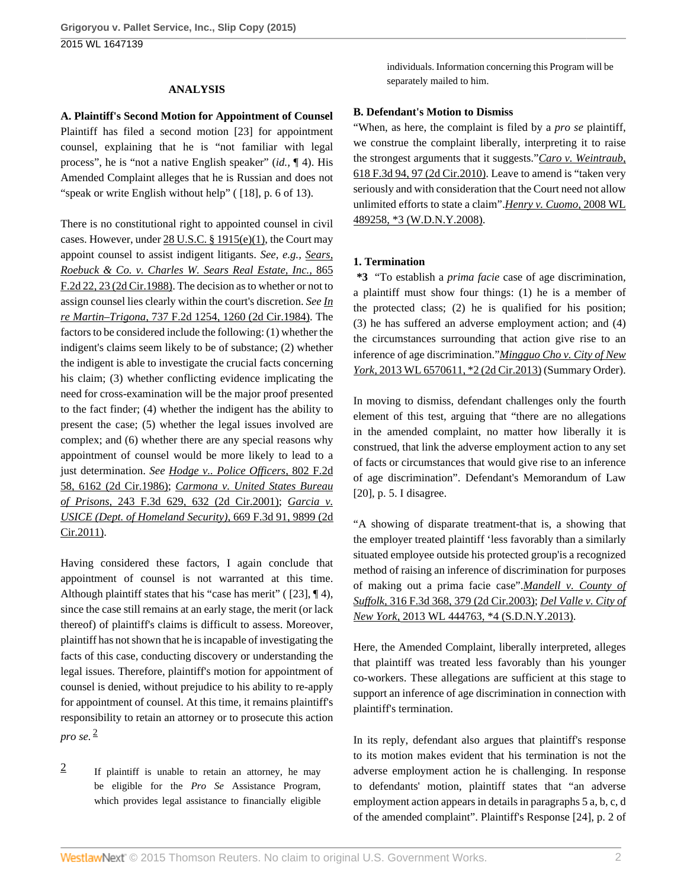### **ANALYSIS**

**A. Plaintiff's Second Motion for Appointment of Counsel** Plaintiff has filed a second motion [23] for appointment counsel, explaining that he is "not familiar with legal process", he is "not a native English speaker" (*id.,* ¶ 4). His Amended Complaint alleges that he is Russian and does not "speak or write English without help" ( [18], p. 6 of 13).

There is no constitutional right to appointed counsel in civil cases. However, under [28 U.S.C. § 1915\(e\)\(1\)](http://www.westlaw.com/Link/Document/FullText?findType=L&pubNum=1000546&cite=28USCAS1915&originatingDoc=I6fefd12fe2d011e4b86bd602cb8781fa&refType=RB&originationContext=document&vr=3.0&rs=cblt1.0&transitionType=DocumentItem&contextData=(sc.UserEnteredCitation)#co_pp_06a60000dfdc6), the Court may appoint counsel to assist indigent litigants. *See, e.g., [Sears,](http://www.westlaw.com/Link/Document/FullText?findType=Y&serNum=1988166739&pubNum=0000350&originatingDoc=I6fefd12fe2d011e4b86bd602cb8781fa&refType=RP&fi=co_pp_sp_350_23&originationContext=document&vr=3.0&rs=cblt1.0&transitionType=DocumentItem&contextData=(sc.UserEnteredCitation)#co_pp_sp_350_23) [Roebuck & Co. v. Charles W. Sears Real Estate, Inc.,](http://www.westlaw.com/Link/Document/FullText?findType=Y&serNum=1988166739&pubNum=0000350&originatingDoc=I6fefd12fe2d011e4b86bd602cb8781fa&refType=RP&fi=co_pp_sp_350_23&originationContext=document&vr=3.0&rs=cblt1.0&transitionType=DocumentItem&contextData=(sc.UserEnteredCitation)#co_pp_sp_350_23)* 865 [F.2d 22, 23 \(2d Cir.1988\).](http://www.westlaw.com/Link/Document/FullText?findType=Y&serNum=1988166739&pubNum=0000350&originatingDoc=I6fefd12fe2d011e4b86bd602cb8781fa&refType=RP&fi=co_pp_sp_350_23&originationContext=document&vr=3.0&rs=cblt1.0&transitionType=DocumentItem&contextData=(sc.UserEnteredCitation)#co_pp_sp_350_23) The decision as to whether or not to assign counsel lies clearly within the court's discretion. *See [In](http://www.westlaw.com/Link/Document/FullText?findType=Y&serNum=1984130498&pubNum=0000350&originatingDoc=I6fefd12fe2d011e4b86bd602cb8781fa&refType=RP&fi=co_pp_sp_350_1260&originationContext=document&vr=3.0&rs=cblt1.0&transitionType=DocumentItem&contextData=(sc.UserEnteredCitation)#co_pp_sp_350_1260) re Martin–Trigona,* [737 F.2d 1254, 1260 \(2d Cir.1984\)](http://www.westlaw.com/Link/Document/FullText?findType=Y&serNum=1984130498&pubNum=0000350&originatingDoc=I6fefd12fe2d011e4b86bd602cb8781fa&refType=RP&fi=co_pp_sp_350_1260&originationContext=document&vr=3.0&rs=cblt1.0&transitionType=DocumentItem&contextData=(sc.UserEnteredCitation)#co_pp_sp_350_1260). The factors to be considered include the following: (1) whether the indigent's claims seem likely to be of substance; (2) whether the indigent is able to investigate the crucial facts concerning his claim; (3) whether conflicting evidence implicating the need for cross-examination will be the major proof presented to the fact finder; (4) whether the indigent has the ability to present the case; (5) whether the legal issues involved are complex; and (6) whether there are any special reasons why appointment of counsel would be more likely to lead to a just determination. *See [Hodge v.. Police Officers,](http://www.westlaw.com/Link/Document/FullText?findType=Y&serNum=1986148732&pubNum=0000350&originatingDoc=I6fefd12fe2d011e4b86bd602cb8781fa&refType=RP&originationContext=document&vr=3.0&rs=cblt1.0&transitionType=DocumentItem&contextData=(sc.UserEnteredCitation))* 802 F.2d [58, 6162 \(2d Cir.1986\);](http://www.westlaw.com/Link/Document/FullText?findType=Y&serNum=1986148732&pubNum=0000350&originatingDoc=I6fefd12fe2d011e4b86bd602cb8781fa&refType=RP&originationContext=document&vr=3.0&rs=cblt1.0&transitionType=DocumentItem&contextData=(sc.UserEnteredCitation)) *[Carmona v. United States Bureau](http://www.westlaw.com/Link/Document/FullText?findType=Y&serNum=2001242482&pubNum=0000506&originatingDoc=I6fefd12fe2d011e4b86bd602cb8781fa&refType=RP&fi=co_pp_sp_506_632&originationContext=document&vr=3.0&rs=cblt1.0&transitionType=DocumentItem&contextData=(sc.UserEnteredCitation)#co_pp_sp_506_632) of Prisons,* [243 F.3d 629, 632 \(2d Cir.2001\);](http://www.westlaw.com/Link/Document/FullText?findType=Y&serNum=2001242482&pubNum=0000506&originatingDoc=I6fefd12fe2d011e4b86bd602cb8781fa&refType=RP&fi=co_pp_sp_506_632&originationContext=document&vr=3.0&rs=cblt1.0&transitionType=DocumentItem&contextData=(sc.UserEnteredCitation)#co_pp_sp_506_632) *[Garcia v.](http://www.westlaw.com/Link/Document/FullText?findType=Y&serNum=2026773705&pubNum=0000506&originatingDoc=I6fefd12fe2d011e4b86bd602cb8781fa&refType=RP&originationContext=document&vr=3.0&rs=cblt1.0&transitionType=DocumentItem&contextData=(sc.UserEnteredCitation)) [USICE \(Dept. of Homeland Security\),](http://www.westlaw.com/Link/Document/FullText?findType=Y&serNum=2026773705&pubNum=0000506&originatingDoc=I6fefd12fe2d011e4b86bd602cb8781fa&refType=RP&originationContext=document&vr=3.0&rs=cblt1.0&transitionType=DocumentItem&contextData=(sc.UserEnteredCitation))* 669 F.3d 91, 9899 (2d [Cir.2011\).](http://www.westlaw.com/Link/Document/FullText?findType=Y&serNum=2026773705&pubNum=0000506&originatingDoc=I6fefd12fe2d011e4b86bd602cb8781fa&refType=RP&originationContext=document&vr=3.0&rs=cblt1.0&transitionType=DocumentItem&contextData=(sc.UserEnteredCitation))

Having considered these factors, I again conclude that appointment of counsel is not warranted at this time. Although plaintiff states that his "case has merit" ( [23], ¶ 4), since the case still remains at an early stage, the merit (or lack thereof) of plaintiff's claims is difficult to assess. Moreover, plaintiff has not shown that he is incapable of investigating the facts of this case, conducting discovery or understanding the legal issues. Therefore, plaintiff's motion for appointment of counsel is denied, without prejudice to his ability to re-apply for appointment of counsel. At this time, it remains plaintiff's responsibility to retain an attorney or to prosecute this action *pro se.* [2](#page-1-0)

<span id="page-1-1"></span><span id="page-1-0"></span>[2](#page-1-1) If plaintiff is unable to retain an attorney, he may be eligible for the *Pro Se* Assistance Program, which provides legal assistance to financially eligible individuals. Information concerning this Program will be separately mailed to him.

#### **B. Defendant's Motion to Dismiss**

"When, as here, the complaint is filed by a *pro se* plaintiff, we construe the complaint liberally, interpreting it to raise the strongest arguments that it suggests."*[Caro v. Weintraub,](http://www.westlaw.com/Link/Document/FullText?findType=Y&serNum=2022767669&pubNum=0000506&originatingDoc=I6fefd12fe2d011e4b86bd602cb8781fa&refType=RP&fi=co_pp_sp_506_97&originationContext=document&vr=3.0&rs=cblt1.0&transitionType=DocumentItem&contextData=(sc.UserEnteredCitation)#co_pp_sp_506_97)* [618 F.3d 94, 97 \(2d Cir.2010\)](http://www.westlaw.com/Link/Document/FullText?findType=Y&serNum=2022767669&pubNum=0000506&originatingDoc=I6fefd12fe2d011e4b86bd602cb8781fa&refType=RP&fi=co_pp_sp_506_97&originationContext=document&vr=3.0&rs=cblt1.0&transitionType=DocumentItem&contextData=(sc.UserEnteredCitation)#co_pp_sp_506_97). Leave to amend is "taken very seriously and with consideration that the Court need not allow unlimited efforts to state a claim".*[Henry v. Cuomo,](http://www.westlaw.com/Link/Document/FullText?findType=Y&serNum=2015325838&pubNum=0000999&originatingDoc=I6fefd12fe2d011e4b86bd602cb8781fa&refType=RP&originationContext=document&vr=3.0&rs=cblt1.0&transitionType=DocumentItem&contextData=(sc.UserEnteredCitation))* 2008 WL [489258, \\*3 \(W.D.N.Y.2008\)](http://www.westlaw.com/Link/Document/FullText?findType=Y&serNum=2015325838&pubNum=0000999&originatingDoc=I6fefd12fe2d011e4b86bd602cb8781fa&refType=RP&originationContext=document&vr=3.0&rs=cblt1.0&transitionType=DocumentItem&contextData=(sc.UserEnteredCitation)).

#### **1. Termination**

**\*3** "To establish a *prima facie* case of age discrimination, a plaintiff must show four things: (1) he is a member of the protected class; (2) he is qualified for his position; (3) he has suffered an adverse employment action; and (4) the circumstances surrounding that action give rise to an inference of age discrimination."*[Mingguo Cho v. City of New](http://www.westlaw.com/Link/Document/FullText?findType=Y&serNum=2032305379&pubNum=0000999&originatingDoc=I6fefd12fe2d011e4b86bd602cb8781fa&refType=RP&originationContext=document&vr=3.0&rs=cblt1.0&transitionType=DocumentItem&contextData=(sc.UserEnteredCitation)) York,* [2013 WL 6570611, \\*2 \(2d Cir.2013\)](http://www.westlaw.com/Link/Document/FullText?findType=Y&serNum=2032305379&pubNum=0000999&originatingDoc=I6fefd12fe2d011e4b86bd602cb8781fa&refType=RP&originationContext=document&vr=3.0&rs=cblt1.0&transitionType=DocumentItem&contextData=(sc.UserEnteredCitation)) (Summary Order).

In moving to dismiss, defendant challenges only the fourth element of this test, arguing that "there are no allegations in the amended complaint, no matter how liberally it is construed, that link the adverse employment action to any set of facts or circumstances that would give rise to an inference of age discrimination". Defendant's Memorandum of Law [20], p. 5. I disagree.

"A showing of disparate treatment-that is, a showing that the employer treated plaintiff 'less favorably than a similarly situated employee outside his protected group'is a recognized method of raising an inference of discrimination for purposes of making out a prima facie case".*[Mandell v. County of](http://www.westlaw.com/Link/Document/FullText?findType=Y&serNum=2003089314&pubNum=0000506&originatingDoc=I6fefd12fe2d011e4b86bd602cb8781fa&refType=RP&fi=co_pp_sp_506_379&originationContext=document&vr=3.0&rs=cblt1.0&transitionType=DocumentItem&contextData=(sc.UserEnteredCitation)#co_pp_sp_506_379) Suffolk,* [316 F.3d 368, 379 \(2d Cir.2003\);](http://www.westlaw.com/Link/Document/FullText?findType=Y&serNum=2003089314&pubNum=0000506&originatingDoc=I6fefd12fe2d011e4b86bd602cb8781fa&refType=RP&fi=co_pp_sp_506_379&originationContext=document&vr=3.0&rs=cblt1.0&transitionType=DocumentItem&contextData=(sc.UserEnteredCitation)#co_pp_sp_506_379) *[Del Valle v. City of](http://www.westlaw.com/Link/Document/FullText?findType=Y&serNum=2029800737&pubNum=0000999&originatingDoc=I6fefd12fe2d011e4b86bd602cb8781fa&refType=RP&originationContext=document&vr=3.0&rs=cblt1.0&transitionType=DocumentItem&contextData=(sc.UserEnteredCitation)) New York,* [2013 WL 444763, \\*4 \(S.D.N.Y.2013\)](http://www.westlaw.com/Link/Document/FullText?findType=Y&serNum=2029800737&pubNum=0000999&originatingDoc=I6fefd12fe2d011e4b86bd602cb8781fa&refType=RP&originationContext=document&vr=3.0&rs=cblt1.0&transitionType=DocumentItem&contextData=(sc.UserEnteredCitation)).

Here, the Amended Complaint, liberally interpreted, alleges that plaintiff was treated less favorably than his younger co-workers. These allegations are sufficient at this stage to support an inference of age discrimination in connection with plaintiff's termination.

In its reply, defendant also argues that plaintiff's response to its motion makes evident that his termination is not the adverse employment action he is challenging. In response to defendants' motion, plaintiff states that "an adverse employment action appears in details in paragraphs 5 a, b, c, d of the amended complaint". Plaintiff's Response [24], p. 2 of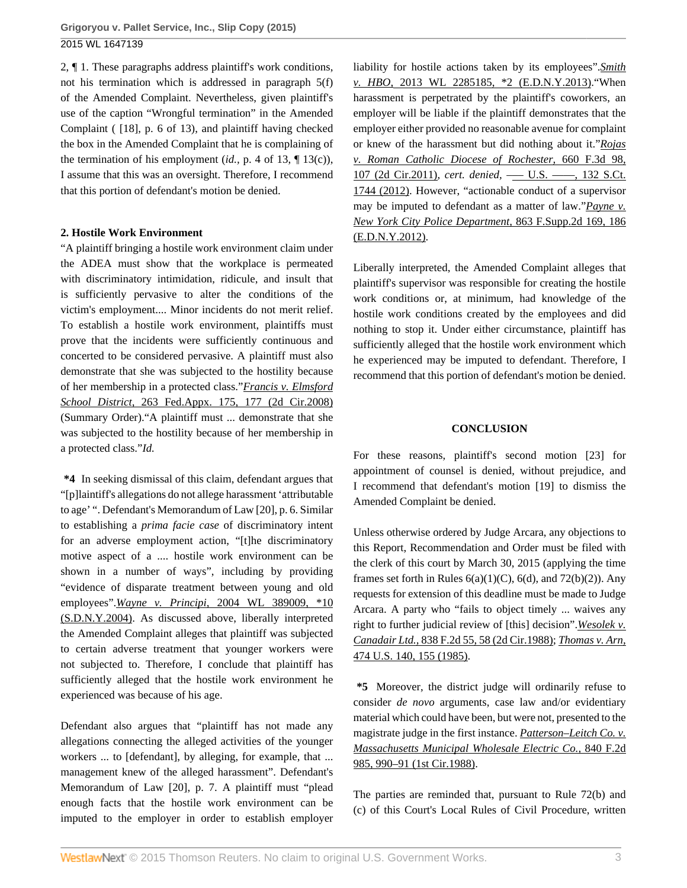2, ¶ 1. These paragraphs address plaintiff's work conditions, not his termination which is addressed in paragraph 5(f) of the Amended Complaint. Nevertheless, given plaintiff's use of the caption "Wrongful termination" in the Amended Complaint ( [18], p. 6 of 13), and plaintiff having checked the box in the Amended Complaint that he is complaining of the termination of his employment (*id.,* p. 4 of 13, ¶ 13(c)), I assume that this was an oversight. Therefore, I recommend that this portion of defendant's motion be denied.

### **2. Hostile Work Environment**

"A plaintiff bringing a hostile work environment claim under the ADEA must show that the workplace is permeated with discriminatory intimidation, ridicule, and insult that is sufficiently pervasive to alter the conditions of the victim's employment.... Minor incidents do not merit relief. To establish a hostile work environment, plaintiffs must prove that the incidents were sufficiently continuous and concerted to be considered pervasive. A plaintiff must also demonstrate that she was subjected to the hostility because of her membership in a protected class."*[Francis v. Elmsford](http://www.westlaw.com/Link/Document/FullText?findType=Y&serNum=2015179644&pubNum=0006538&originatingDoc=I6fefd12fe2d011e4b86bd602cb8781fa&refType=RP&fi=co_pp_sp_6538_177&originationContext=document&vr=3.0&rs=cblt1.0&transitionType=DocumentItem&contextData=(sc.UserEnteredCitation)#co_pp_sp_6538_177) School District,* [263 Fed.Appx. 175, 177 \(2d Cir.2008\)](http://www.westlaw.com/Link/Document/FullText?findType=Y&serNum=2015179644&pubNum=0006538&originatingDoc=I6fefd12fe2d011e4b86bd602cb8781fa&refType=RP&fi=co_pp_sp_6538_177&originationContext=document&vr=3.0&rs=cblt1.0&transitionType=DocumentItem&contextData=(sc.UserEnteredCitation)#co_pp_sp_6538_177) (Summary Order)."A plaintiff must ... demonstrate that she was subjected to the hostility because of her membership in a protected class."*Id.*

**\*4** In seeking dismissal of this claim, defendant argues that "[p]laintiff's allegations do not allege harassment 'attributable to age' ". Defendant's Memorandum of Law [20], p. 6. Similar to establishing a *prima facie case* of discriminatory intent for an adverse employment action, "[t]he discriminatory motive aspect of a .... hostile work environment can be shown in a number of ways", including by providing "evidence of disparate treatment between young and old employees".*Wayne v. Principi,* [2004 WL 389009, \\*10](http://www.westlaw.com/Link/Document/FullText?findType=Y&serNum=2004178161&pubNum=0000999&originatingDoc=I6fefd12fe2d011e4b86bd602cb8781fa&refType=RP&originationContext=document&vr=3.0&rs=cblt1.0&transitionType=DocumentItem&contextData=(sc.UserEnteredCitation)) [\(S.D.N.Y.2004\).](http://www.westlaw.com/Link/Document/FullText?findType=Y&serNum=2004178161&pubNum=0000999&originatingDoc=I6fefd12fe2d011e4b86bd602cb8781fa&refType=RP&originationContext=document&vr=3.0&rs=cblt1.0&transitionType=DocumentItem&contextData=(sc.UserEnteredCitation)) As discussed above, liberally interpreted the Amended Complaint alleges that plaintiff was subjected to certain adverse treatment that younger workers were not subjected to. Therefore, I conclude that plaintiff has sufficiently alleged that the hostile work environment he experienced was because of his age.

Defendant also argues that "plaintiff has not made any allegations connecting the alleged activities of the younger workers ... to [defendant], by alleging, for example, that ... management knew of the alleged harassment". Defendant's Memorandum of Law [20], p. 7. A plaintiff must "plead enough facts that the hostile work environment can be imputed to the employer in order to establish employer

liability for hostile actions taken by its employees".*[Smith](http://www.westlaw.com/Link/Document/FullText?findType=Y&serNum=2030607525&pubNum=0000999&originatingDoc=I6fefd12fe2d011e4b86bd602cb8781fa&refType=RP&originationContext=document&vr=3.0&rs=cblt1.0&transitionType=DocumentItem&contextData=(sc.UserEnteredCitation)) v. HBO,* [2013 WL 2285185, \\*2 \(E.D.N.Y.2013\)](http://www.westlaw.com/Link/Document/FullText?findType=Y&serNum=2030607525&pubNum=0000999&originatingDoc=I6fefd12fe2d011e4b86bd602cb8781fa&refType=RP&originationContext=document&vr=3.0&rs=cblt1.0&transitionType=DocumentItem&contextData=(sc.UserEnteredCitation))."When harassment is perpetrated by the plaintiff's coworkers, an employer will be liable if the plaintiff demonstrates that the employer either provided no reasonable avenue for complaint or knew of the harassment but did nothing about it."*[Rojas](http://www.westlaw.com/Link/Document/FullText?findType=Y&serNum=2026264610&pubNum=0000506&originatingDoc=I6fefd12fe2d011e4b86bd602cb8781fa&refType=RP&fi=co_pp_sp_506_107&originationContext=document&vr=3.0&rs=cblt1.0&transitionType=DocumentItem&contextData=(sc.UserEnteredCitation)#co_pp_sp_506_107) [v. Roman Catholic Diocese of Rochester,](http://www.westlaw.com/Link/Document/FullText?findType=Y&serNum=2026264610&pubNum=0000506&originatingDoc=I6fefd12fe2d011e4b86bd602cb8781fa&refType=RP&fi=co_pp_sp_506_107&originationContext=document&vr=3.0&rs=cblt1.0&transitionType=DocumentItem&contextData=(sc.UserEnteredCitation)#co_pp_sp_506_107)* 660 F.3d 98, [107 \(2d Cir.2011\),](http://www.westlaw.com/Link/Document/FullText?findType=Y&serNum=2026264610&pubNum=0000506&originatingDoc=I6fefd12fe2d011e4b86bd602cb8781fa&refType=RP&fi=co_pp_sp_506_107&originationContext=document&vr=3.0&rs=cblt1.0&transitionType=DocumentItem&contextData=(sc.UserEnteredCitation)#co_pp_sp_506_107) *cert. denied, -- U.S. ----,* 132 S.Ct. [1744 \(2012\).](http://www.westlaw.com/Link/Document/FullText?findType=Y&serNum=2026847826&pubNum=0000708&originatingDoc=I6fefd12fe2d011e4b86bd602cb8781fa&refType=RP&originationContext=document&vr=3.0&rs=cblt1.0&transitionType=DocumentItem&contextData=(sc.UserEnteredCitation)) However, "actionable conduct of a supervisor may be imputed to defendant as a matter of law."*[Payne v.](http://www.westlaw.com/Link/Document/FullText?findType=Y&serNum=2027401096&pubNum=0004637&originatingDoc=I6fefd12fe2d011e4b86bd602cb8781fa&refType=RP&fi=co_pp_sp_4637_186&originationContext=document&vr=3.0&rs=cblt1.0&transitionType=DocumentItem&contextData=(sc.UserEnteredCitation)#co_pp_sp_4637_186) [New York City Police Department,](http://www.westlaw.com/Link/Document/FullText?findType=Y&serNum=2027401096&pubNum=0004637&originatingDoc=I6fefd12fe2d011e4b86bd602cb8781fa&refType=RP&fi=co_pp_sp_4637_186&originationContext=document&vr=3.0&rs=cblt1.0&transitionType=DocumentItem&contextData=(sc.UserEnteredCitation)#co_pp_sp_4637_186)* 863 F.Supp.2d 169, 186 [\(E.D.N.Y.2012\)](http://www.westlaw.com/Link/Document/FullText?findType=Y&serNum=2027401096&pubNum=0004637&originatingDoc=I6fefd12fe2d011e4b86bd602cb8781fa&refType=RP&fi=co_pp_sp_4637_186&originationContext=document&vr=3.0&rs=cblt1.0&transitionType=DocumentItem&contextData=(sc.UserEnteredCitation)#co_pp_sp_4637_186).

Liberally interpreted, the Amended Complaint alleges that plaintiff's supervisor was responsible for creating the hostile work conditions or, at minimum, had knowledge of the hostile work conditions created by the employees and did nothing to stop it. Under either circumstance, plaintiff has sufficiently alleged that the hostile work environment which he experienced may be imputed to defendant. Therefore, I recommend that this portion of defendant's motion be denied.

### **CONCLUSION**

For these reasons, plaintiff's second motion [23] for appointment of counsel is denied, without prejudice, and I recommend that defendant's motion [19] to dismiss the Amended Complaint be denied.

Unless otherwise ordered by Judge Arcara, any objections to this Report, Recommendation and Order must be filed with the clerk of this court by March 30, 2015 (applying the time frames set forth in Rules  $6(a)(1)(C)$ ,  $6(d)$ , and  $72(b)(2)$ ). Any requests for extension of this deadline must be made to Judge Arcara. A party who "fails to object timely ... waives any right to further judicial review of [this] decision".*[Wesolek v.](http://www.westlaw.com/Link/Document/FullText?findType=Y&serNum=1988014943&pubNum=0000350&originatingDoc=I6fefd12fe2d011e4b86bd602cb8781fa&refType=RP&fi=co_pp_sp_350_58&originationContext=document&vr=3.0&rs=cblt1.0&transitionType=DocumentItem&contextData=(sc.UserEnteredCitation)#co_pp_sp_350_58) Canadair Ltd.,* [838 F.2d 55, 58 \(2d Cir.1988\)](http://www.westlaw.com/Link/Document/FullText?findType=Y&serNum=1988014943&pubNum=0000350&originatingDoc=I6fefd12fe2d011e4b86bd602cb8781fa&refType=RP&fi=co_pp_sp_350_58&originationContext=document&vr=3.0&rs=cblt1.0&transitionType=DocumentItem&contextData=(sc.UserEnteredCitation)#co_pp_sp_350_58); *[Thomas v. Arn,](http://www.westlaw.com/Link/Document/FullText?findType=Y&serNum=1985158797&pubNum=0000780&originatingDoc=I6fefd12fe2d011e4b86bd602cb8781fa&refType=RP&fi=co_pp_sp_780_155&originationContext=document&vr=3.0&rs=cblt1.0&transitionType=DocumentItem&contextData=(sc.UserEnteredCitation)#co_pp_sp_780_155)* [474 U.S. 140, 155 \(1985\).](http://www.westlaw.com/Link/Document/FullText?findType=Y&serNum=1985158797&pubNum=0000780&originatingDoc=I6fefd12fe2d011e4b86bd602cb8781fa&refType=RP&fi=co_pp_sp_780_155&originationContext=document&vr=3.0&rs=cblt1.0&transitionType=DocumentItem&contextData=(sc.UserEnteredCitation)#co_pp_sp_780_155)

**\*5** Moreover, the district judge will ordinarily refuse to consider *de novo* arguments, case law and/or evidentiary material which could have been, but were not, presented to the magistrate judge in the first instance. *[Patterson–Leitch Co. v.](http://www.westlaw.com/Link/Document/FullText?findType=Y&serNum=1988022622&pubNum=0000350&originatingDoc=I6fefd12fe2d011e4b86bd602cb8781fa&refType=RP&fi=co_pp_sp_350_990&originationContext=document&vr=3.0&rs=cblt1.0&transitionType=DocumentItem&contextData=(sc.UserEnteredCitation)#co_pp_sp_350_990) [Massachusetts Municipal Wholesale Electric Co.,](http://www.westlaw.com/Link/Document/FullText?findType=Y&serNum=1988022622&pubNum=0000350&originatingDoc=I6fefd12fe2d011e4b86bd602cb8781fa&refType=RP&fi=co_pp_sp_350_990&originationContext=document&vr=3.0&rs=cblt1.0&transitionType=DocumentItem&contextData=(sc.UserEnteredCitation)#co_pp_sp_350_990)* 840 F.2d [985, 990–91 \(1st Cir.1988\).](http://www.westlaw.com/Link/Document/FullText?findType=Y&serNum=1988022622&pubNum=0000350&originatingDoc=I6fefd12fe2d011e4b86bd602cb8781fa&refType=RP&fi=co_pp_sp_350_990&originationContext=document&vr=3.0&rs=cblt1.0&transitionType=DocumentItem&contextData=(sc.UserEnteredCitation)#co_pp_sp_350_990)

The parties are reminded that, pursuant to Rule 72(b) and (c) of this Court's Local Rules of Civil Procedure, written